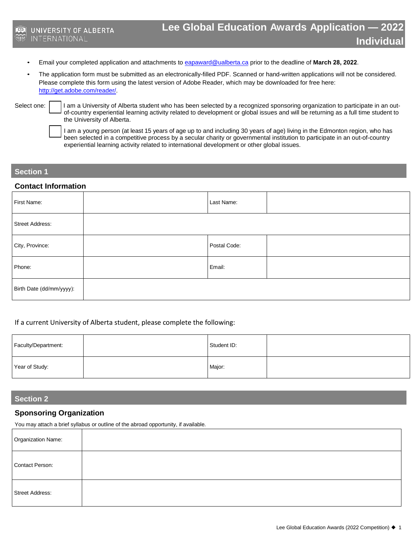- **Individuals** Email your completed application and attachments t[o eapaward@ualberta.ca](mailto:eapaward@ualberta.ca) prior to the deadline of **March <sup>2</sup>8, 2022**.
- The application form must be submitted as an electronically-filled PDF. Scanned or hand-written applications will not be considered. Please complete this form using the latest version of Adobe Reader, which may be downloaded for free here: [http://get.adobe.com/reader/.](http://get.adobe.com/reader/)

Select one: | | | | am a University of Alberta student who has been selected by a recognized sponsoring organization to participate in an outof-country experiential learning activity related to development or global issues and will be returning as a full time student to the University of Alberta.

> I am a young person (at least 15 years of age up to and including 30 years of age) living in the Edmonton region, who has been selected in a competitive process by a secular charity or governmental institution to participate in an out-of-country experiential learning activity related to international development or other global issues.

### **Section 1**

#### **Contact Information**

| First Name:              | Last Name:   |  |
|--------------------------|--------------|--|
| Street Address:          |              |  |
| City, Province:          | Postal Code: |  |
| Phone:                   | Email:       |  |
| Birth Date (dd/mm/yyyy): |              |  |

#### If a current University of Alberta student, please complete the following:

| Faculty/Department: | Student ID: |  |
|---------------------|-------------|--|
| Year of Study:      | Major:      |  |

## **Section 2**

## **Sponsoring Organization**

You may attach a brief syllabus or outline of the abroad opportunity, if available.

| Organization Name: |  |
|--------------------|--|
| Contact Person:    |  |
| Street Address:    |  |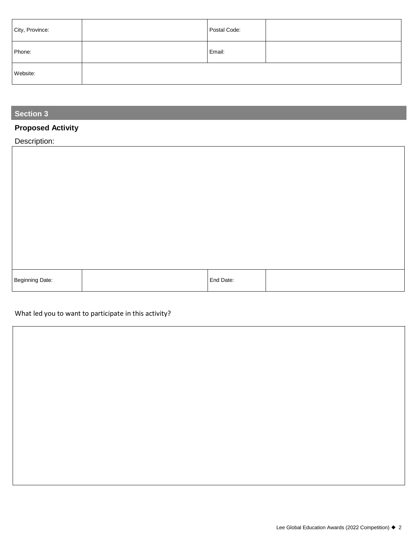| City, Province: | Postal Code: |  |
|-----------------|--------------|--|
| Phone:          | Email:       |  |
| Website:        |              |  |

## **Section 3**

# **Proposed Activity**

# Description:

| Beginning Date: | End Date: |  |
|-----------------|-----------|--|

## What led you to want to participate in this activity?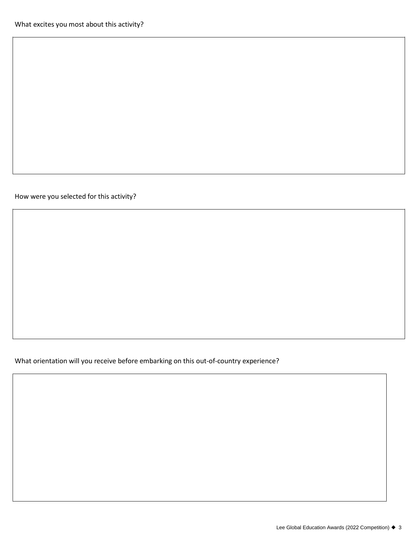How were you selected for this activity?

What orientation will you receive before embarking on this out-of-country experience?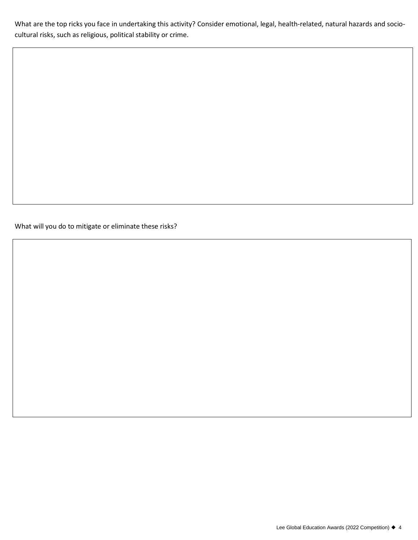What are the top ricks you face in undertaking this activity? Consider emotional, legal, health-related, natural hazards and sociocultural risks, such as religious, political stability or crime.

What will you do to mitigate or eliminate these risks?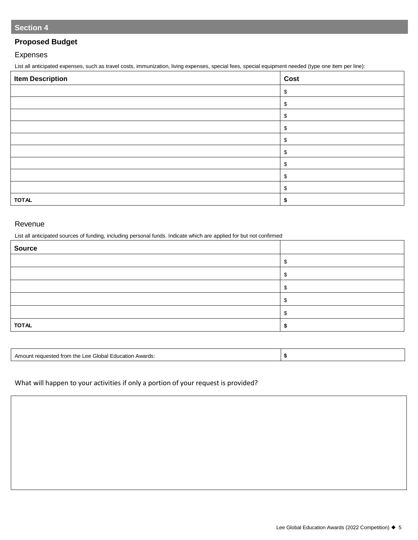## **Proposed Budget**

## Expenses

List all anticipated expenses, such as travel costs, immunization, living expenses, special fees, special equipment needed (type one item per line):

| <b>Item Description</b> | Cost |
|-------------------------|------|
|                         | \$   |
|                         | \$   |
|                         | \$   |
|                         | \$   |
|                         | \$   |
|                         | \$   |
|                         | \$   |
|                         | \$   |
|                         | \$   |
| <b>TOTAL</b>            |      |

#### Revenue

List all anticipated sources of funding, including personal funds. Indicate which are applied for but not confirmed

| <b>Source</b> |  |
|---------------|--|
|               |  |
|               |  |
|               |  |
|               |  |
|               |  |
| <b>TOTAL</b>  |  |

| `Ioh<br>trom<br>Awards<br>the<br>atıor<br>_ee<br>Amo<br>≒αuα |  |
|--------------------------------------------------------------|--|
|                                                              |  |

## What will happen to your activities if only a portion of your request is provided?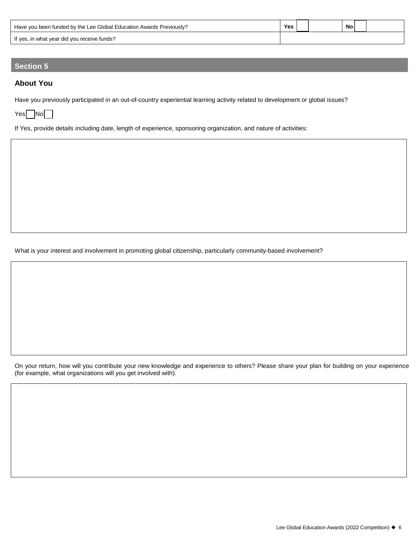| Have you been funded by the Lee Global Education Awards Previously? |  |  | No |  |  |
|---------------------------------------------------------------------|--|--|----|--|--|
| If yes, in what year did you receive funds?                         |  |  |    |  |  |

## **Section 5**

## **About You**

Have you previously participated in an out-of-country experiential learning activity related to development or global issues?

 $Yes$  No

If Yes, provide details including date, length of experience, sponsoring organization, and nature of activities:

What is your interest and involvement in promoting global citizenship, particularly community-based involvement?

On your return, how will you contribute your new knowledge and experience to others? Please share your plan for building on your experience (for example, what organizations will you get involved with).